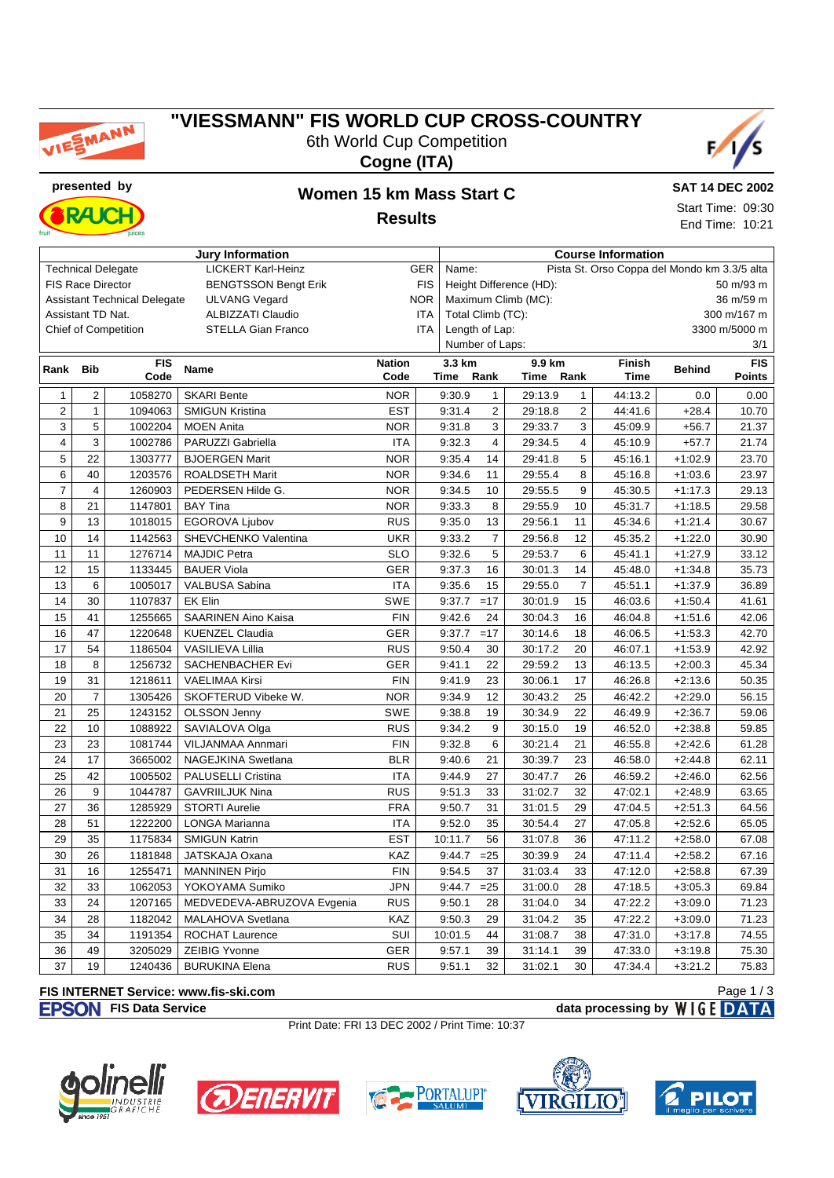

# **"VIESSMANN" FIS WORLD CUP CROSS-COUNTRY** 6th World Cup Competition







#### **presented by Women 15 km Mass Start C Results**

**SAT 14 DEC 2002** Start Time: 09:30

End Time: 10:21

| <b>Jury Information</b>                                              |                |            |                            |               |                                      | <b>Course Information</b>                             |                |         |                |             |               |               |  |  |  |
|----------------------------------------------------------------------|----------------|------------|----------------------------|---------------|--------------------------------------|-------------------------------------------------------|----------------|---------|----------------|-------------|---------------|---------------|--|--|--|
| <b>LICKERT Karl-Heinz</b><br><b>Technical Delegate</b><br><b>GER</b> |                |            |                            |               |                                      | Pista St. Orso Coppa del Mondo km 3.3/5 alta<br>Name: |                |         |                |             |               |               |  |  |  |
| <b>FIS Race Director</b><br><b>BENGTSSON Bengt Erik</b>              |                |            |                            | <b>FIS</b>    | Height Difference (HD):<br>50 m/93 m |                                                       |                |         |                |             |               |               |  |  |  |
| <b>Assistant Technical Delegate</b><br><b>ULVANG Vegard</b>          |                |            |                            | <b>NOR</b>    | Maximum Climb (MC):<br>36 m/59 m     |                                                       |                |         |                |             |               |               |  |  |  |
| Assistant TD Nat.<br><b>ALBIZZATI Claudio</b>                        |                |            |                            | ITA           |                                      | Total Climb (TC):                                     |                |         |                |             | 300 m/167 m   |               |  |  |  |
| <b>Chief of Competition</b><br><b>STELLA Gian Franco</b>             |                |            |                            | ITA           |                                      | Length of Lap:                                        |                |         |                |             | 3300 m/5000 m |               |  |  |  |
|                                                                      |                |            |                            |               |                                      | Number of Laps:<br>3/1                                |                |         |                |             |               |               |  |  |  |
| Rank                                                                 | <b>Bib</b>     | <b>FIS</b> | <b>Name</b>                | <b>Nation</b> |                                      | 3.3 km                                                |                | 9.9 km  |                | Finish      | <b>Behind</b> | <b>FIS</b>    |  |  |  |
|                                                                      |                | Code       |                            | Code          |                                      | Time                                                  | Rank           | Time    | Rank           | <b>Time</b> |               | <b>Points</b> |  |  |  |
| $\mathbf{1}$                                                         | $\overline{2}$ | 1058270    | <b>SKARI Bente</b>         | <b>NOR</b>    |                                      | 9:30.9                                                | $\mathbf{1}$   | 29:13.9 | $\mathbf{1}$   | 44:13.2     | 0.0           | 0.00          |  |  |  |
| $\overline{2}$                                                       | $\mathbf{1}$   | 1094063    | <b>SMIGUN Kristina</b>     | <b>EST</b>    |                                      | 9:31.4                                                | $\overline{2}$ | 29:18.8 | $\overline{2}$ | 44:41.6     | $+28.4$       | 10.70         |  |  |  |
| 3                                                                    | 5              | 1002204    | <b>MOEN Anita</b>          | <b>NOR</b>    |                                      | 9:31.8                                                | 3              | 29:33.7 | 3              | 45:09.9     | $+56.7$       | 21.37         |  |  |  |
| $\overline{\mathbf{4}}$                                              | 3              | 1002786    | PARUZZI Gabriella          | <b>ITA</b>    |                                      | 9:32.3                                                | $\overline{4}$ | 29:34.5 | 4              | 45:10.9     | $+57.7$       | 21.74         |  |  |  |
| 5                                                                    | 22             | 1303777    | <b>BJOERGEN Marit</b>      | <b>NOR</b>    |                                      | 9:35.4                                                | 14             | 29:41.8 | 5              | 45:16.1     | $+1:02.9$     | 23.70         |  |  |  |
| 6                                                                    | 40             | 1203576    | ROALDSETH Marit            | <b>NOR</b>    |                                      | 9:34.6                                                | 11             | 29:55.4 | 8              | 45:16.8     | $+1:03.6$     | 23.97         |  |  |  |
| $\overline{7}$                                                       | 4              | 1260903    | PEDERSEN Hilde G.          | <b>NOR</b>    |                                      | 9:34.5                                                | 10             | 29:55.5 | 9              | 45:30.5     | $+1:17.3$     | 29.13         |  |  |  |
| 8                                                                    | 21             | 1147801    | <b>BAY Tina</b>            | <b>NOR</b>    |                                      | 9:33.3                                                | 8              | 29:55.9 | 10             | 45:31.7     | $+1:18.5$     | 29.58         |  |  |  |
| 9                                                                    | 13             | 1018015    | EGOROVA Ljubov             | <b>RUS</b>    |                                      | 9:35.0                                                | 13             | 29:56.1 | 11             | 45:34.6     | $+1:21.4$     | 30.67         |  |  |  |
| 10                                                                   | 14             | 1142563    | SHEVCHENKO Valentina       | <b>UKR</b>    |                                      | 9:33.2                                                | $\overline{7}$ | 29:56.8 | 12             | 45:35.2     | $+1:22.0$     | 30.90         |  |  |  |
| 11                                                                   | 11             | 1276714    | <b>MAJDIC Petra</b>        | <b>SLO</b>    |                                      | 9:32.6                                                | 5              | 29:53.7 | 6              | 45:41.1     | $+1:27.9$     | 33.12         |  |  |  |
| 12                                                                   | 15             | 1133445    | <b>BAUER Viola</b>         | <b>GER</b>    |                                      | 9:37.3                                                | 16             | 30:01.3 | 14             | 45:48.0     | $+1:34.8$     | 35.73         |  |  |  |
| 13                                                                   | 6              | 1005017    | VALBUSA Sabina             | <b>ITA</b>    |                                      | 9:35.6                                                | 15             | 29:55.0 | $\overline{7}$ | 45:51.1     | $+1:37.9$     | 36.89         |  |  |  |
| 14                                                                   | 30             | 1107837    | <b>EK Elin</b>             | SWE           |                                      | 9:37.7                                                | $=17$          | 30:01.9 | 15             | 46:03.6     | $+1:50.4$     | 41.61         |  |  |  |
| 15                                                                   | 41             | 1255665    | <b>SAARINEN Aino Kaisa</b> | <b>FIN</b>    |                                      | 9:42.6                                                | 24             | 30:04.3 | 16             | 46:04.8     | $+1:51.6$     | 42.06         |  |  |  |
| 16                                                                   | 47             | 1220648    | <b>KUENZEL Claudia</b>     | <b>GER</b>    |                                      | 9:37.7                                                | $=17$          | 30:14.6 | 18             | 46:06.5     | $+1:53.3$     | 42.70         |  |  |  |
| 17                                                                   | 54             | 1186504    | VASILIEVA Lillia           | <b>RUS</b>    |                                      | 9:50.4                                                | 30             | 30:17.2 | 20             | 46:07.1     | $+1:53.9$     | 42.92         |  |  |  |
| 18                                                                   | 8              | 1256732    | SACHENBACHER Evi           | GER           |                                      | 9:41.1                                                | 22             | 29:59.2 | 13             | 46:13.5     | $+2:00.3$     | 45.34         |  |  |  |
| 19                                                                   | 31             | 1218611    | <b>VAELIMAA Kirsi</b>      | <b>FIN</b>    |                                      | 9:41.9                                                | 23             | 30:06.1 | 17             | 46:26.8     | $+2:13.6$     | 50.35         |  |  |  |
| 20                                                                   | $\overline{7}$ | 1305426    | SKOFTERUD Vibeke W.        | <b>NOR</b>    |                                      | 9:34.9                                                | 12             | 30:43.2 | 25             | 46:42.2     | $+2:29.0$     | 56.15         |  |  |  |
| 21                                                                   | 25             | 1243152    | <b>OLSSON Jenny</b>        | <b>SWE</b>    |                                      | 9:38.8                                                | 19             | 30:34.9 | 22             | 46:49.9     | $+2:36.7$     | 59.06         |  |  |  |
| 22                                                                   | 10             | 1088922    | SAVIALOVA Olga             | <b>RUS</b>    |                                      | 9:34.2                                                | 9              | 30:15.0 | 19             | 46:52.0     | $+2:38.8$     | 59.85         |  |  |  |
| 23                                                                   | 23             | 1081744    | VILJANMAA Annmari          | <b>FIN</b>    |                                      | 9:32.8                                                | 6              | 30:21.4 | 21             | 46:55.8     | $+2:42.6$     | 61.28         |  |  |  |
| 24                                                                   | 17             | 3665002    | NAGEJKINA Swetlana         | <b>BLR</b>    |                                      | 9:40.6                                                | 21             | 30:39.7 | 23             | 46:58.0     | $+2:44.8$     | 62.11         |  |  |  |
| 25                                                                   | 42             | 1005502    | PALUSELLI Cristina         | <b>ITA</b>    |                                      | 9:44.9                                                | 27             | 30:47.7 | 26             | 46:59.2     | $+2:46.0$     | 62.56         |  |  |  |
| 26                                                                   | 9              | 1044787    | <b>GAVRIILJUK Nina</b>     | <b>RUS</b>    |                                      | 9:51.3                                                | 33             | 31:02.7 | 32             | 47:02.1     | $+2:48.9$     | 63.65         |  |  |  |
| 27                                                                   | 36             | 1285929    | <b>STORTI Aurelie</b>      | <b>FRA</b>    |                                      | 9:50.7                                                | 31             | 31:01.5 | 29             | 47:04.5     | $+2:51.3$     | 64.56         |  |  |  |
| 28                                                                   | 51             | 1222200    | <b>LONGA Marianna</b>      | <b>ITA</b>    |                                      | 9:52.0                                                | 35             | 30:54.4 | 27             | 47:05.8     | $+2:52.6$     | 65.05         |  |  |  |
| 29                                                                   | 35             | 1175834    | <b>SMIGUN Katrin</b>       | <b>EST</b>    |                                      | 10:11.7                                               | 56             | 31:07.8 | 36             | 47:11.2     | $+2:58.0$     | 67.08         |  |  |  |
| 30                                                                   | 26             | 1181848    | JATSKAJA Oxana             | KAZ           |                                      | 9:44.7                                                | $=25$          | 30:39.9 | 24             | 47:11.4     | $+2:58.2$     | 67.16         |  |  |  |
| 31                                                                   | 16             | 1255471    | <b>MANNINEN Pirjo</b>      | <b>FIN</b>    |                                      | 9:54.5                                                | 37             | 31:03.4 | 33             | 47:12.0     | $+2:58.8$     | 67.39         |  |  |  |
| 32                                                                   | 33             | 1062053    | YOKOYAMA Sumiko            | <b>JPN</b>    |                                      | 9:44.7                                                | $=25$          | 31:00.0 | 28             | 47:18.5     | $+3:05.3$     | 69.84         |  |  |  |
| 33                                                                   | 24             | 1207165    | MEDVEDEVA-ABRUZOVA Evgenia | <b>RUS</b>    |                                      | 9:50.1                                                | 28             | 31:04.0 | 34             | 47:22.2     | $+3:09.0$     | 71.23         |  |  |  |
| 34                                                                   | 28             | 1182042    | MALAHOVA Svetlana          | KAZ           |                                      | 9:50.3                                                | 29             | 31:04.2 | 35             | 47:22.2     | $+3:09.0$     | 71.23         |  |  |  |
| 35                                                                   | 34             | 1191354    | <b>ROCHAT Laurence</b>     | SUI           |                                      | 10:01.5                                               | 44             | 31:08.7 | 38             | 47:31.0     | $+3:17.8$     | 74.55         |  |  |  |
| 36                                                                   | 49             | 3205029    | <b>ZEIBIG Yvonne</b>       | GER           |                                      | 9:57.1                                                | 39             | 31:14.1 | 39             | 47:33.0     | $+3:19.8$     | 75.30         |  |  |  |
| 37                                                                   | 19             | 1240436    | <b>BURUKINA Elena</b>      | <b>RUS</b>    |                                      | 9:51.1                                                | 32             | 31:02.1 | 30             | 47:34.4     | $+3:21.2$     | 75.83         |  |  |  |

#### **FIS INTERNET Service: www.fis-ski.com**

**FISON** FIS Data Service **data processing by** WIGE DATA

Print Date: FRI 13 DEC 2002 / Print Time: 10:37











Page 1 / 3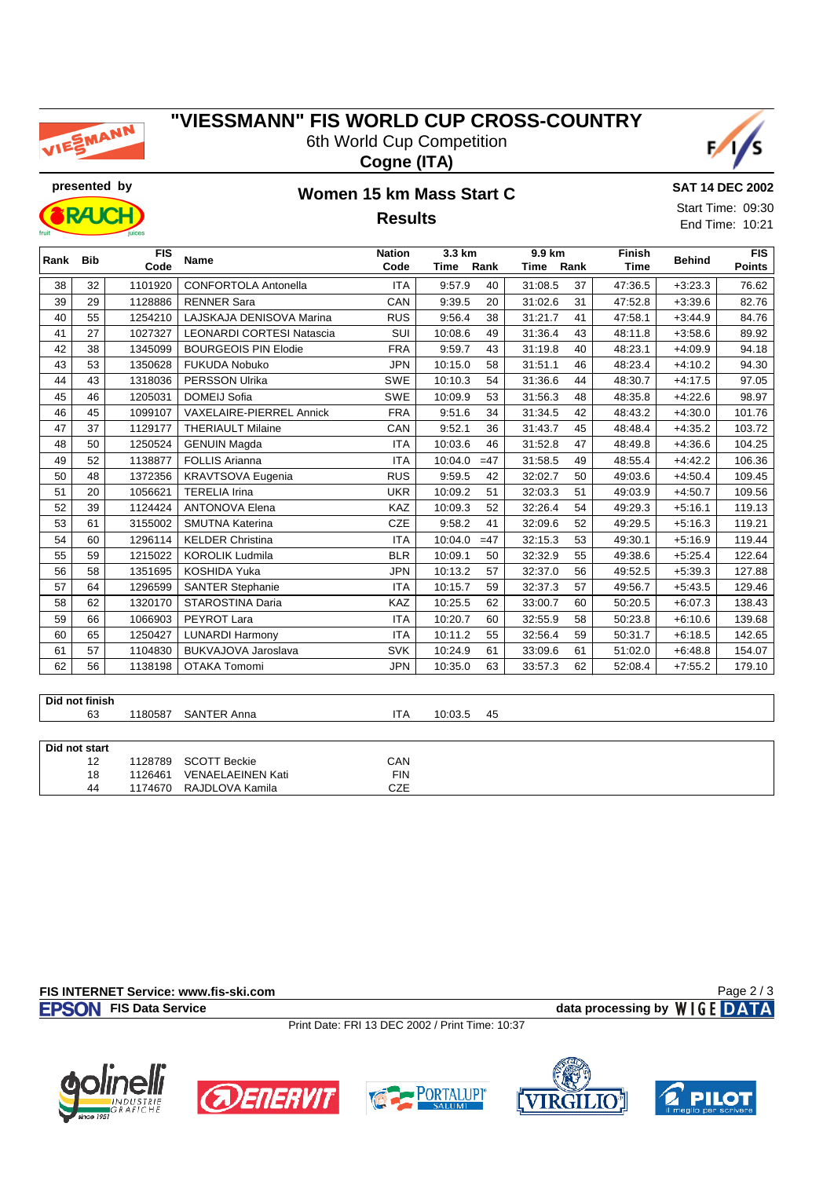

# **"VIESSMANN" FIS WORLD CUP CROSS-COUNTRY** 6th World Cup Competition





**RAIC** 

#### **presented by Women 15 km Mass Start C Results**



| Rank | <b>Bib</b> | <b>FIS</b><br>Code | <b>Name</b>                      | <b>Nation</b><br>Code<br>Time |         | 3.3 km<br>9.9 km<br>Rank<br>Rank<br>Time |         |    | <b>Finish</b> | <b>Behind</b><br><b>Time</b> |                        |
|------|------------|--------------------|----------------------------------|-------------------------------|---------|------------------------------------------|---------|----|---------------|------------------------------|------------------------|
| 38   | 32         | 1101920            | <b>CONFORTOLA Antonella</b>      | <b>ITA</b>                    | 9:57.9  | 40                                       | 31:08.5 | 37 | 47:36.5       | $+3:23.3$                    | <b>Points</b><br>76.62 |
| 39   | 29         | 1128886            | <b>RENNER Sara</b>               | CAN                           | 9:39.5  | 20                                       | 31:02.6 | 31 | 47:52.8       | $+3:39.6$                    | 82.76                  |
| 40   | 55         | 1254210            | LAJSKAJA DENISOVA Marina         | <b>RUS</b>                    | 9:56.4  | 38                                       | 31:21.7 | 41 | 47:58.1       | $+3:44.9$                    | 84.76                  |
| 41   | 27         | 1027327            | <b>LEONARDI CORTESI Natascia</b> | SUI                           | 10:08.6 | 49                                       | 31:36.4 | 43 | 48:11.8       | $+3:58.6$                    | 89.92                  |
| 42   | 38         | 1345099            | <b>BOURGEOIS PIN Elodie</b>      | <b>FRA</b>                    | 9:59.7  | 43                                       | 31:19.8 | 40 | 48:23.1       | $+4:09.9$                    | 94.18                  |
| 43   | 53         | 1350628            | <b>FUKUDA Nobuko</b>             | <b>JPN</b>                    | 10:15.0 | 58                                       | 31:51.1 | 46 | 48:23.4       | $+4:10.2$                    | 94.30                  |
| 44   | 43         | 1318036            | <b>PERSSON Ulrika</b>            | <b>SWE</b>                    | 10:10.3 | 54                                       | 31:36.6 | 44 | 48:30.7       | $+4:17.5$                    | 97.05                  |
| 45   | 46         | 1205031            | <b>DOMEIJ Sofia</b>              | <b>SWE</b>                    | 10:09.9 | 53                                       | 31:56.3 | 48 | 48:35.8       | $+4:22.6$                    | 98.97                  |
| 46   | 45         | 1099107            | <b>VAXELAIRE-PIERREL Annick</b>  | <b>FRA</b>                    | 9:51.6  | 34                                       | 31:34.5 | 42 | 48:43.2       | $+4:30.0$                    | 101.76                 |
| 47   | 37         | 1129177            | <b>THERIAULT Milaine</b>         | CAN                           | 9:52.1  | 36                                       | 31:43.7 | 45 | 48:48.4       | $+4:35.2$                    | 103.72                 |
| 48   | 50         | 1250524            | <b>GENUIN Magda</b>              | <b>ITA</b>                    | 10:03.6 | 46                                       | 31:52.8 | 47 | 48:49.8       | $+4:36.6$                    | 104.25                 |
| 49   | 52         | 1138877            | <b>FOLLIS Arianna</b>            | <b>ITA</b>                    | 10:04.0 | $=47$                                    | 31:58.5 | 49 | 48:55.4       | $+4:42.2$                    | 106.36                 |
| 50   | 48         | 1372356            | <b>KRAVTSOVA Eugenia</b>         | <b>RUS</b>                    | 9:59.5  | 42                                       | 32:02.7 | 50 | 49:03.6       | $+4:50.4$                    | 109.45                 |
| 51   | 20         | 1056621            | <b>TERELIA Irina</b>             | <b>UKR</b>                    | 10:09.2 | 51                                       | 32:03.3 | 51 | 49:03.9       | $+4:50.7$                    | 109.56                 |
| 52   | 39         | 1124424            | <b>ANTONOVA Elena</b>            | <b>KAZ</b>                    | 10:09.3 | 52                                       | 32:26.4 | 54 | 49:29.3       | $+5:16.1$                    | 119.13                 |
| 53   | 61         | 3155002            | <b>SMUTNA Katerina</b>           | <b>CZE</b>                    | 9:58.2  | 41                                       | 32:09.6 | 52 | 49:29.5       | $+5:16.3$                    | 119.21                 |
| 54   | 60         | 1296114            | <b>KELDER Christina</b>          | <b>ITA</b>                    | 10:04.0 | $=47$                                    | 32:15.3 | 53 | 49:30.1       | $+5:16.9$                    | 119.44                 |
| 55   | 59         | 1215022            | <b>KOROLIK Ludmila</b>           | <b>BLR</b>                    | 10:09.1 | 50                                       | 32:32.9 | 55 | 49:38.6       | $+5:25.4$                    | 122.64                 |
| 56   | 58         | 1351695            | KOSHIDA Yuka                     | <b>JPN</b>                    | 10:13.2 | 57                                       | 32:37.0 | 56 | 49:52.5       | $+5:39.3$                    | 127.88                 |
| 57   | 64         | 1296599            | <b>SANTER Stephanie</b>          | <b>ITA</b>                    | 10:15.7 | 59                                       | 32:37.3 | 57 | 49:56.7       | $+5:43.5$                    | 129.46                 |
| 58   | 62         | 1320170            | STAROSTINA Daria                 | <b>KAZ</b>                    | 10:25.5 | 62                                       | 33:00.7 | 60 | 50:20.5       | $+6:07.3$                    | 138.43                 |
| 59   | 66         | 1066903            | PEYROT Lara                      | <b>ITA</b>                    | 10:20.7 | 60                                       | 32:55.9 | 58 | 50:23.8       | $+6:10.6$                    | 139.68                 |
| 60   | 65         | 1250427            | <b>LUNARDI Harmony</b>           | <b>ITA</b>                    | 10:11.2 | 55                                       | 32:56.4 | 59 | 50:31.7       | $+6:18.5$                    | 142.65                 |
| 61   | 57         | 1104830            | BUKVAJOVA Jaroslava              | <b>SVK</b>                    | 10:24.9 | 61                                       | 33:09.6 | 61 | 51:02.0       | $+6:48.8$                    | 154.07                 |
| 62   | 56         | 1138198            | <b>OTAKA Tomomi</b>              | <b>JPN</b>                    | 10:35.0 | 63                                       | 33:57.3 | 62 | 52:08.4       | $+7:55.2$                    | 179.10                 |

**Did not finish**

63 1180587 SANTER Anna **ITA** 10:03.5 45

| Did not start |         |                          |            |
|---------------|---------|--------------------------|------------|
| 12            | 1128789 | <b>SCOTT Beckie</b>      | CAN        |
| 18            | 1126461 | <b>VENAELAEINEN Kati</b> | <b>FIN</b> |
| 44            | 1174670 | RAJDLOVA Kamila          | CZE        |

**FIS INTERNET Service: www.fis-ski.com FIS Data Service data processing by**  $W \mid G E$  **DATA** 

Page 2 / 3

Print Date: FRI 13 DEC 2002 / Print Time: 10:37